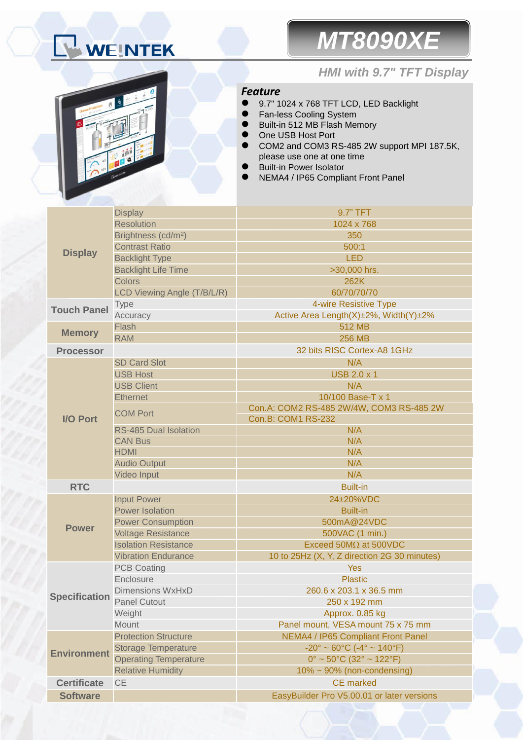# WEINTEK

# *MT8090XE*



## *HMI with 9.7" TFT Display*

### *Feature*

- 9.7" 1024 x 768 TFT LCD, LED Backlight
- Fan-less Cooling System
- Built-in 512 MB Flash Memory
- One USB Host Port
- COM2 and COM3 RS-485 2W support MPI 187.5K, please use one at one time
- Built-in Power Isolator
- NEMA4 / IP65 Compliant Front Panel

| <b>Display</b>       | <b>Display</b>                  | 9.7" TFT                                                           |  |  |
|----------------------|---------------------------------|--------------------------------------------------------------------|--|--|
|                      | <b>Resolution</b>               | 1024 x 768                                                         |  |  |
|                      | Brightness (cd/m <sup>2</sup> ) | 350                                                                |  |  |
|                      | <b>Contrast Ratio</b>           | 500:1                                                              |  |  |
|                      | <b>Backlight Type</b>           | <b>LED</b>                                                         |  |  |
|                      | <b>Backlight Life Time</b>      | >30,000 hrs.                                                       |  |  |
|                      | Colors                          | 262K                                                               |  |  |
|                      | LCD Viewing Angle (T/B/L/R)     | 60/70/70/70                                                        |  |  |
| <b>Touch Panel</b>   | <b>Type</b>                     | 4-wire Resistive Type                                              |  |  |
|                      | Accuracy                        | Active Area Length(X)±2%, Width(Y)±2%                              |  |  |
| <b>Memory</b>        | Flash                           | 512 MB                                                             |  |  |
|                      | <b>RAM</b>                      | <b>256 MB</b>                                                      |  |  |
| <b>Processor</b>     |                                 | 32 bits RISC Cortex-A8 1GHz                                        |  |  |
| <b>I/O Port</b>      | <b>SD Card Slot</b>             | N/A                                                                |  |  |
|                      | <b>USB Host</b>                 | <b>USB 2.0 x 1</b>                                                 |  |  |
|                      | <b>USB Client</b>               | N/A                                                                |  |  |
|                      | <b>Ethernet</b>                 | 10/100 Base-T x 1                                                  |  |  |
|                      | <b>COM Port</b>                 | Con.A: COM2 RS-485 2W/4W, COM3 RS-485 2W                           |  |  |
|                      |                                 | Con.B: COM1 RS-232                                                 |  |  |
|                      | <b>RS-485 Dual Isolation</b>    | N/A                                                                |  |  |
|                      | <b>CAN Bus</b>                  | N/A                                                                |  |  |
|                      | <b>HDMI</b>                     | N/A                                                                |  |  |
|                      | <b>Audio Output</b>             | N/A                                                                |  |  |
|                      | Video Input                     | N/A                                                                |  |  |
| <b>RTC</b>           |                                 | <b>Built-in</b>                                                    |  |  |
|                      | <b>Input Power</b>              | 24±20%VDC                                                          |  |  |
|                      | <b>Power Isolation</b>          | <b>Built-in</b>                                                    |  |  |
| <b>Power</b>         | <b>Power Consumption</b>        | 500mA@24VDC                                                        |  |  |
|                      | <b>Voltage Resistance</b>       | 500VAC (1 min.)                                                    |  |  |
|                      | <b>Isolation Resistance</b>     | Exceed 50MΩ at 500VDC                                              |  |  |
|                      | <b>Vibration Endurance</b>      | 10 to 25Hz (X, Y, Z direction 2G 30 minutes)                       |  |  |
| <b>Specification</b> | <b>PCB Coating</b>              | <b>Yes</b>                                                         |  |  |
|                      | Enclosure                       | <b>Plastic</b>                                                     |  |  |
|                      | <b>Dimensions WxHxD</b>         | 260.6 x 203.1 x 36.5 mm                                            |  |  |
|                      | <b>Panel Cutout</b>             | 250 x 192 mm                                                       |  |  |
|                      | Weight                          | Approx. 0.85 kg                                                    |  |  |
|                      | Mount                           | Panel mount, VESA mount 75 x 75 mm                                 |  |  |
| <b>Environment</b>   | <b>Protection Structure</b>     | NEMA4 / IP65 Compliant Front Panel                                 |  |  |
|                      | <b>Storage Temperature</b>      | $-20^{\circ} \sim 60^{\circ}$ C ( $-4^{\circ} \sim 140^{\circ}$ F) |  |  |
|                      | <b>Operating Temperature</b>    | $0^{\circ}$ ~ 50 $^{\circ}$ C (32 $^{\circ}$ ~ 122 $^{\circ}$ F)   |  |  |
|                      | <b>Relative Humidity</b>        | $10\% \sim 90\%$ (non-condensing)                                  |  |  |
| <b>Certificate</b>   | <b>CE</b>                       | <b>CE</b> marked                                                   |  |  |
| <b>Software</b>      |                                 | EasyBuilder Pro V5.00.01 or later versions                         |  |  |